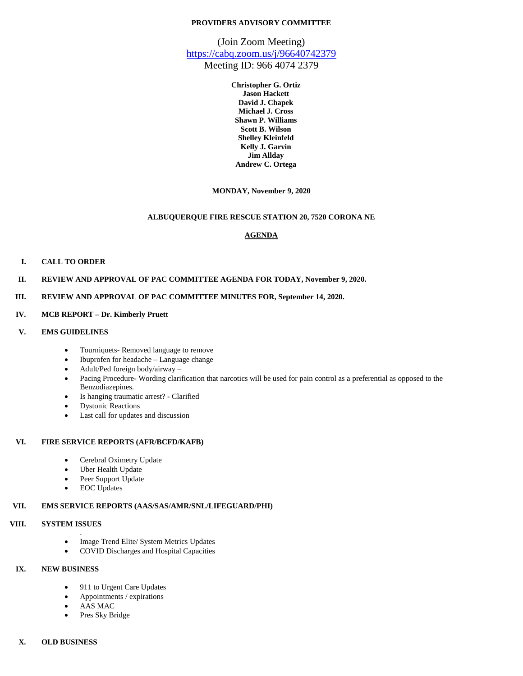## **PROVIDERS ADVISORY COMMITTEE**

(Join Zoom Meeting) <https://cabq.zoom.us/j/96640742379>

Meeting ID: 966 4074 2379

**Christopher G. Ortiz Jason Hackett David J. Chapek Michael J. Cross Shawn P. Williams Scott B. Wilson Shelley Kleinfeld Kelly J. Garvin Jim Allday Andrew C. Ortega**

**MONDAY, November 9, 2020**

### **ALBUQUERQUE FIRE RESCUE STATION 20, 7520 CORONA NE**

## **AGENDA**

#### **I. CALL TO ORDER**

**II. REVIEW AND APPROVAL OF PAC COMMITTEE AGENDA FOR TODAY, November 9, 2020.**

#### **III. REVIEW AND APPROVAL OF PAC COMMITTEE MINUTES FOR, September 14, 2020.**

## **IV. MCB REPORT – Dr. Kimberly Pruett**

### **V. EMS GUIDELINES**

- Tourniquets- Removed language to remove
- Ibuprofen for headache Language change
- Adult/Ped foreign body/airway –
- Pacing Procedure- Wording clarification that narcotics will be used for pain control as a preferential as opposed to the Benzodiazepines.
- Is hanging traumatic arrest? Clarified
- Dystonic Reactions
- Last call for updates and discussion

#### **VI. FIRE SERVICE REPORTS (AFR/BCFD/KAFB)**

- Cerebral Oximetry Update
- Uber Health Update
- Peer Support Update
- EOC Updates

# **VII. EMS SERVICE REPORTS (AAS/SAS/AMR/SNL/LIFEGUARD/PHI)**

# **VIII. SYSTEM ISSUES**

- . • Image Trend Elite/ System Metrics Updates
- COVID Discharges and Hospital Capacities

# **IX. NEW BUSINESS**

- 911 to Urgent Care Updates
- Appointments / expirations
- AAS MAC
- Pres Sky Bridge

# **X. OLD BUSINESS**